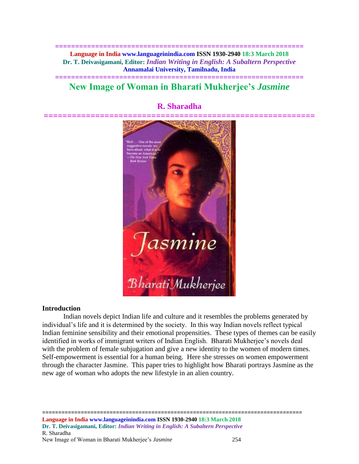**============================================================== Language in India www.languageinindia.com ISSN 1930-2940 18:3 March 2018 Dr. T. Deivasigamani, Editor:** *Indian Writing in English: A Subaltern Perspective* **Annamalai University, Tamilnadu, India**

# **============================================================== New Image of Woman in Bharati Mukherjee's** *Jasmine*



## **R. Sharadha**

#### **Introduction**

Indian novels depict Indian life and culture and it resembles the problems generated by individual's life and it is determined by the society. In this way Indian novels reflect typical Indian feminine sensibility and their emotional propensities. These types of themes can be easily identified in works of immigrant writers of Indian English. Bharati Mukherjee's novels deal with the problem of female subjugation and give a new identity to the women of modern times. Self-empowerment is essential for a human being. Here she stresses on women empowerment through the character Jasmine. This paper tries to highlight how Bharati portrays Jasmine as the new age of woman who adopts the new lifestyle in an alien country.

================================================================================= **Language in India www.languageinindia.com ISSN 1930-2940 18:3 March 2018 Dr. T. Deivasigamani, Editor:** *Indian Writing in English: A Subaltern Perspective* R. Sharadha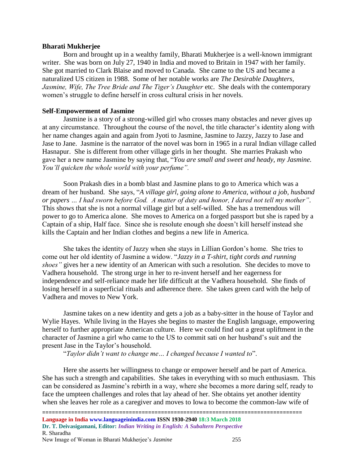#### **Bharati Mukherjee**

Born and brought up in a wealthy family, Bharati Mukherjee is a well-known immigrant writer. She was born on July 27, 1940 in India and moved to Britain in 1947 with her family. She got married to Clark Blaise and moved to Canada. She came to the US and became a naturalized US citizen in 1988. Some of her notable works are *The Desirable Daughters, Jasmine, Wife, The Tree Bride and The Tiger's Daughter* etc. She deals with the contemporary women's struggle to define herself in cross cultural crisis in her novels.

#### **Self-Empowerment of Jasmine**

Jasmine is a story of a strong-willed girl who crosses many obstacles and never gives up at any circumstance. Throughout the course of the novel, the title character's identity along with her name changes again and again from Jyoti to Jasmine, Jasmine to Jazzy, Jazzy to Jase and Jase to Jane. Jasmine is the narrator of the novel was born in 1965 in a rural Indian village called Hasnapur. She is different from other village girls in her thought. She marries Prakash who gave her a new name Jasmine by saying that, "*You are small and sweet and heady, my Jasmine. You'll quicken the whole world with your perfume".*

Soon Prakash dies in a bomb blast and Jasmine plans to go to America which was a dream of her husband. She says, "*A village girl, going alone to America, without a job, husband or papers … I had sworn before God. A matter of duty and honor, I dared not tell my mother"*. This shows that she is not a normal village girl but a self-willed. She has a tremendous will power to go to America alone. She moves to America on a forged passport but she is raped by a Captain of a ship, Half face. Since she is resolute enough she doesn't kill herself instead she kills the Captain and her Indian clothes and begins a new life in America.

She takes the identity of Jazzy when she stays in Lillian Gordon's home. She tries to come out her old identity of Jasmine a widow. "*Jazzy in a T-shirt, tight cords and running shoes"* gives her a new identity of an American with such a resolution. She decides to move to Vadhera household. The strong urge in her to re-invent herself and her eagerness for independence and self-reliance made her life difficult at the Vadhera household. She finds of losing herself in a superficial rituals and adherence there. She takes green card with the help of Vadhera and moves to New York.

Jasmine takes on a new identity and gets a job as a baby-sitter in the house of Taylor and Wylie Hayes. While living in the Hayes she begins to master the English language, empowering herself to further appropriate American culture. Here we could find out a great upliftment in the character of Jasmine a girl who came to the US to commit sati on her husband's suit and the present Jase in the Taylor's household.

"*Taylor didn't want to change me… I changed because I wanted to*".

Here she asserts her willingness to change or empower herself and be part of America. She has such a strength and capabilities. She takes in everything with so much enthusiasm. This can be considered as Jasmine's rebirth in a way, where she becomes a more daring self, ready to face the umpteen challenges and roles that lay ahead of her. She obtains yet another identity when she leaves her role as a caregiver and moves to Iowa to become the common-law wife of